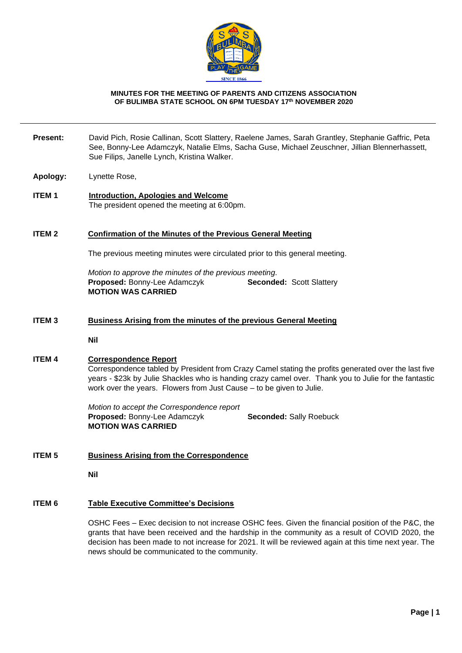

#### **MINUTES FOR THE MEETING OF PARENTS AND CITIZENS ASSOCIATION OF BULIMBA STATE SCHOOL ON 6PM TUESDAY 17th NOVEMBER 2020**

- **Present:** David Pich, Rosie Callinan, Scott Slattery, Raelene James, Sarah Grantley, Stephanie Gaffric, Peta See, Bonny-Lee Adamczyk, Natalie Elms, Sacha Guse, Michael Zeuschner, Jillian Blennerhassett, Sue Filips, Janelle Lynch, Kristina Walker.
- **Apology:** Lynette Rose,
- **ITEM 1 Introduction, Apologies and Welcome** The president opened the meeting at 6:00pm.

### **ITEM 2 Confirmation of the Minutes of the Previous General Meeting**

The previous meeting minutes were circulated prior to this general meeting.

*Motion to approve the minutes of the previous meeting.* **Proposed:** Bonny-Lee Adamczyk **Seconded:** Scott Slattery **MOTION WAS CARRIED**

#### **ITEM 3 Business Arising from the minutes of the previous General Meeting**

**Nil**

#### **ITEM 4 Correspondence Report**

Correspondence tabled by President from Crazy Camel stating the profits generated over the last five years - \$23k by Julie Shackles who is handing crazy camel over. Thank you to Julie for the fantastic work over the years. Flowers from Just Cause – to be given to Julie.

*Motion to accept the Correspondence report* **Proposed:** Bonny-Lee Adamczyk **Seconded:** Sally Roebuck **MOTION WAS CARRIED**

## **ITEM 5 Business Arising from the Correspondence**

**Nil**

# **ITEM 6 Table Executive Committee's Decisions**

OSHC Fees – Exec decision to not increase OSHC fees. Given the financial position of the P&C, the grants that have been received and the hardship in the community as a result of COVID 2020, the decision has been made to not increase for 2021. It will be reviewed again at this time next year. The news should be communicated to the community.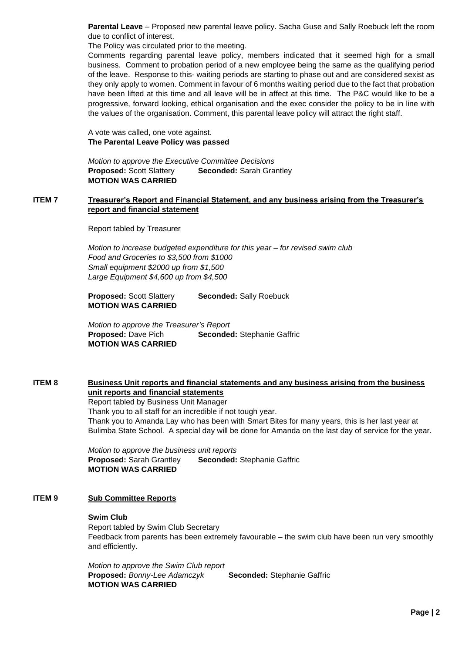**Parental Leave** – Proposed new parental leave policy. Sacha Guse and Sally Roebuck left the room due to conflict of interest.

The Policy was circulated prior to the meeting.

Comments regarding parental leave policy, members indicated that it seemed high for a small business. Comment to probation period of a new employee being the same as the qualifying period of the leave. Response to this- waiting periods are starting to phase out and are considered sexist as they only apply to women. Comment in favour of 6 months waiting period due to the fact that probation have been lifted at this time and all leave will be in affect at this time. The P&C would like to be a progressive, forward looking, ethical organisation and the exec consider the policy to be in line with the values of the organisation. Comment, this parental leave policy will attract the right staff.

A vote was called, one vote against. **The Parental Leave Policy was passed**

*Motion to approve the Executive Committee Decisions* **Proposed:** Scott Slattery **Seconded:** Sarah Grantley **MOTION WAS CARRIED**

## **ITEM 7 Treasurer's Report and Financial Statement, and any business arising from the Treasurer's report and financial statement**

Report tabled by Treasurer

*Motion to increase budgeted expenditure for this year – for revised swim club Food and Groceries to \$3,500 from \$1000 Small equipment \$2000 up from \$1,500 Large Equipment \$4,600 up from \$4,500*

**Proposed:** Scott Slattery **Seconded:** Sally Roebuck **MOTION WAS CARRIED**

*Motion to approve the Treasurer's Report* **Proposed: Dave Pich Seconded: Stephanie Gaffric MOTION WAS CARRIED**

# **ITEM 8 Business Unit reports and financial statements and any business arising from the business unit reports and financial statements**

Report tabled by Business Unit Manager

Thank you to all staff for an incredible if not tough year. Thank you to Amanda Lay who has been with Smart Bites for many years, this is her last year at Bulimba State School. A special day will be done for Amanda on the last day of service for the year.

*Motion to approve the business unit reports* **Proposed:** Sarah Grantley **Seconded:** Stephanie Gaffric **MOTION WAS CARRIED**

# **ITEM 9 Sub Committee Reports**

#### **Swim Club**

Report tabled by Swim Club Secretary Feedback from parents has been extremely favourable – the swim club have been run very smoothly and efficiently.

*Motion to approve the Swim Club report* **Proposed:** *Bonny-Lee Adamczyk* **Seconded:** Stephanie Gaffric **MOTION WAS CARRIED**